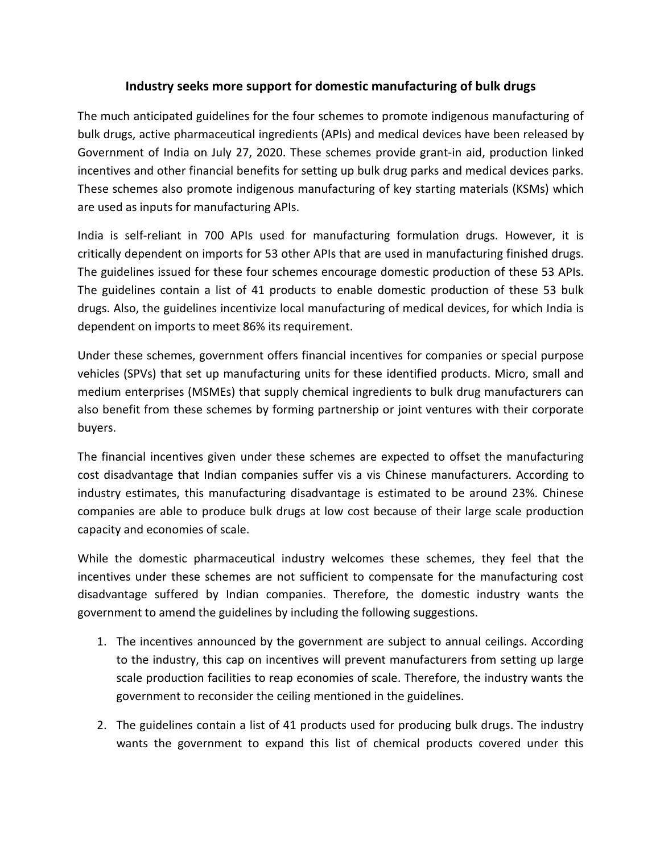## **Industry seeks more support for domestic manufacturing of bulk drugs**

The much anticipated guidelines for the four schemes to promote indigenous manufacturing of bulk drugs, active pharmaceutical ingredients (APIs) and medical devices have been released by Government of India on July 27, 2020. These schemes provide grant-in aid, production linked incentives and other financial benefits for setting up bulk drug parks and medical devices parks. These schemes also promote indigenous manufacturing of key starting materials (KSMs) which are used as inputs for manufacturing APIs.

India is self-reliant in 700 APIs used for manufacturing formulation drugs. However, it is critically dependent on imports for 53 other APIs that are used in manufacturing finished drugs. The guidelines issued for these four schemes encourage domestic production of these 53 APIs. The guidelines contain a list of 41 products to enable domestic production of these 53 bulk drugs. Also, the guidelines incentivize local manufacturing of medical devices, for which India is dependent on imports to meet 86% its requirement.

Under these schemes, government offers financial incentives for companies or special purpose vehicles (SPVs) that set up manufacturing units for these identified products. Micro, small and medium enterprises (MSMEs) that supply chemical ingredients to bulk drug manufacturers can also benefit from these schemes by forming partnership or joint ventures with their corporate buyers.

The financial incentives given under these schemes are expected to offset the manufacturing cost disadvantage that Indian companies suffer vis a vis Chinese manufacturers. According to industry estimates, this manufacturing disadvantage is estimated to be around 23%. Chinese companies are able to produce bulk drugs at low cost because of their large scale production capacity and economies of scale.

While the domestic pharmaceutical industry welcomes these schemes, they feel that the incentives under these schemes are not sufficient to compensate for the manufacturing cost disadvantage suffered by Indian companies.Therefore, the domestic industry wants the government to amend the guidelines by including the following suggestions.

- 1. The incentives announced by the government are subject to annual ceilings. According to the industry, this cap on incentives will prevent manufacturers from setting up large scale production facilities to reap economies of scale. Therefore, the industry wants the government to reconsider the ceiling mentioned in the guidelines.
- 2. The guidelines contain a list of 41 products used for producing bulk drugs. The industry wants the government to expand this list of chemical products covered under this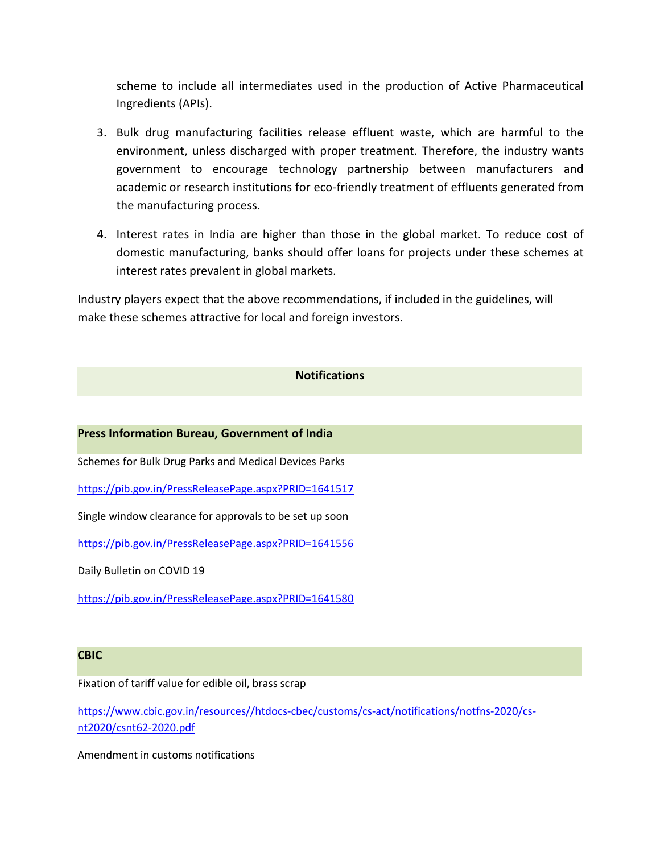scheme to include all intermediates used in the production of Active Pharmaceutical Ingredients (APIs).

- 3. Bulk drug manufacturing facilities release effluent waste, which are harmful to the environment, unless discharged with proper treatment. Therefore, the industry wants government to encourage technology partnership between manufacturers and academic or research institutions for eco-friendly treatment of effluents generated from the manufacturing process.
- 4. Interest rates in India are higher than those in the global market. To reduce cost of domestic manufacturing, banks should offer loans for projects under these schemes at interest rates prevalent in global markets.

Industry players expect that the above recommendations, if included in the guidelines, will make these schemes attractive for local and foreign investors.

## **Notifications**

**Press Information Bureau, Government of India**

Schemes for Bulk Drug Parks and Medical Devices Parks

<https://pib.gov.in/PressReleasePage.aspx?PRID=1641517>

Single window clearance for approvals to be set up soon

<https://pib.gov.in/PressReleasePage.aspx?PRID=1641556>

Daily Bulletin on COVID 19

<https://pib.gov.in/PressReleasePage.aspx?PRID=1641580>

## **CBIC**

Fixation of tariff value for edible oil, brass scrap

[https://www.cbic.gov.in/resources//htdocs-cbec/customs/cs-act/notifications/notfns-2020/cs](https://www.cbic.gov.in/resources/htdocs-cbec/customs/cs-act/notifications/notfns-2020/cs-nt2020/csnt62-2020.pdf) nt2020/csnt62-2020.pdf

Amendment in customs notifications